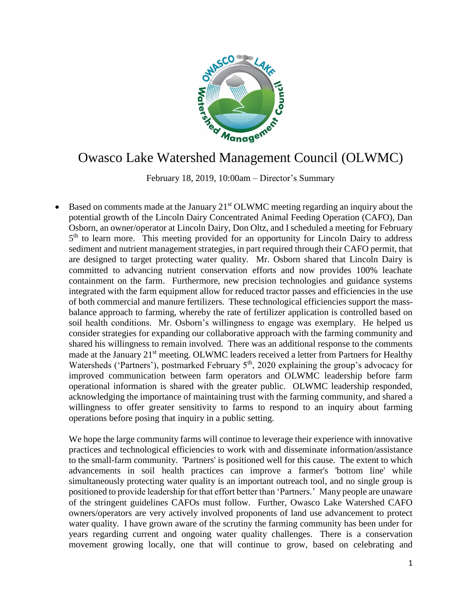

## Owasco Lake Watershed Management Council (OLWMC)

February 18, 2019, 10:00am – Director's Summary

Based on comments made at the January 21<sup>st</sup> OLWMC meeting regarding an inquiry about the potential growth of the Lincoln Dairy Concentrated Animal Feeding Operation (CAFO), Dan Osborn, an owner/operator at Lincoln Dairy, Don Oltz, and I scheduled a meeting for February 5<sup>th</sup> to learn more. This meeting provided for an opportunity for Lincoln Dairy to address sediment and nutrient management strategies, in part required through their CAFO permit, that are designed to target protecting water quality. Mr. Osborn shared that Lincoln Dairy is committed to advancing nutrient conservation efforts and now provides 100% leachate containment on the farm. Furthermore, new precision technologies and guidance systems integrated with the farm equipment allow for reduced tractor passes and efficiencies in the use of both commercial and manure fertilizers. These technological efficiencies support the massbalance approach to farming, whereby the rate of fertilizer application is controlled based on soil health conditions. Mr. Osborn's willingness to engage was exemplary. He helped us consider strategies for expanding our collaborative approach with the farming community and shared his willingness to remain involved. There was an additional response to the comments made at the January 21<sup>st</sup> meeting. OLWMC leaders received a letter from Partners for Healthy Watersheds ('Partners'), postmarked February 5<sup>th</sup>, 2020 explaining the group's advocacy for improved communication between farm operators and OLWMC leadership before farm operational information is shared with the greater public. OLWMC leadership responded, acknowledging the importance of maintaining trust with the farming community, and shared a willingness to offer greater sensitivity to farms to respond to an inquiry about farming operations before posing that inquiry in a public setting.

We hope the large community farms will continue to leverage their experience with innovative practices and technological efficiencies to work with and disseminate information/assistance to the small-farm community. 'Partners' is positioned well for this cause. The extent to which advancements in soil health practices can improve a farmer's 'bottom line' while simultaneously protecting water quality is an important outreach tool, and no single group is positioned to provide leadership for that effort better than 'Partners.' Many people are unaware of the stringent guidelines CAFOs must follow. Further, Owasco Lake Watershed CAFO owners/operators are very actively involved proponents of land use advancement to protect water quality. I have grown aware of the scrutiny the farming community has been under for years regarding current and ongoing water quality challenges. There is a conservation movement growing locally, one that will continue to grow, based on celebrating and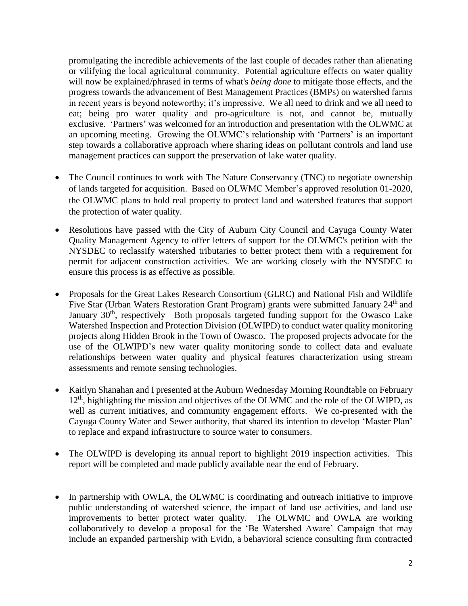promulgating the incredible achievements of the last couple of decades rather than alienating or vilifying the local agricultural community. Potential agriculture effects on water quality will now be explained/phrased in terms of what's *being done* to mitigate those effects, and the progress towards the advancement of Best Management Practices (BMPs) on watershed farms in recent years is beyond noteworthy; it's impressive. We all need to drink and we all need to eat; being pro water quality and pro-agriculture is not, and cannot be, mutually exclusive. 'Partners' was welcomed for an introduction and presentation with the OLWMC at an upcoming meeting. Growing the OLWMC's relationship with 'Partners' is an important step towards a collaborative approach where sharing ideas on pollutant controls and land use management practices can support the preservation of lake water quality.

- The Council continues to work with The Nature Conservancy (TNC) to negotiate ownership of lands targeted for acquisition. Based on OLWMC Member's approved resolution 01-2020, the OLWMC plans to hold real property to protect land and watershed features that support the protection of water quality.
- Resolutions have passed with the City of Auburn City Council and Cayuga County Water Quality Management Agency to offer letters of support for the OLWMC's petition with the NYSDEC to reclassify watershed tributaries to better protect them with a requirement for permit for adjacent construction activities. We are working closely with the NYSDEC to ensure this process is as effective as possible.
- Proposals for the Great Lakes Research Consortium (GLRC) and National Fish and Wildlife Five Star (Urban Waters Restoration Grant Program) grants were submitted January 24<sup>th</sup> and January 30<sup>th</sup>, respectively Both proposals targeted funding support for the Owasco Lake Watershed Inspection and Protection Division (OLWIPD) to conduct water quality monitoring projects along Hidden Brook in the Town of Owasco. The proposed projects advocate for the use of the OLWIPD's new water quality monitoring sonde to collect data and evaluate relationships between water quality and physical features characterization using stream assessments and remote sensing technologies.
- Kaitlyn Shanahan and I presented at the Auburn Wednesday Morning Roundtable on February 12<sup>th</sup>, highlighting the mission and objectives of the OLWMC and the role of the OLWIPD, as well as current initiatives, and community engagement efforts. We co-presented with the Cayuga County Water and Sewer authority, that shared its intention to develop 'Master Plan' to replace and expand infrastructure to source water to consumers.
- The OLWIPD is developing its annual report to highlight 2019 inspection activities. This report will be completed and made publicly available near the end of February.
- In partnership with OWLA, the OLWMC is coordinating and outreach initiative to improve public understanding of watershed science, the impact of land use activities, and land use improvements to better protect water quality. The OLWMC and OWLA are working collaboratively to develop a proposal for the 'Be Watershed Aware' Campaign that may include an expanded partnership with Evidn, a behavioral science consulting firm contracted